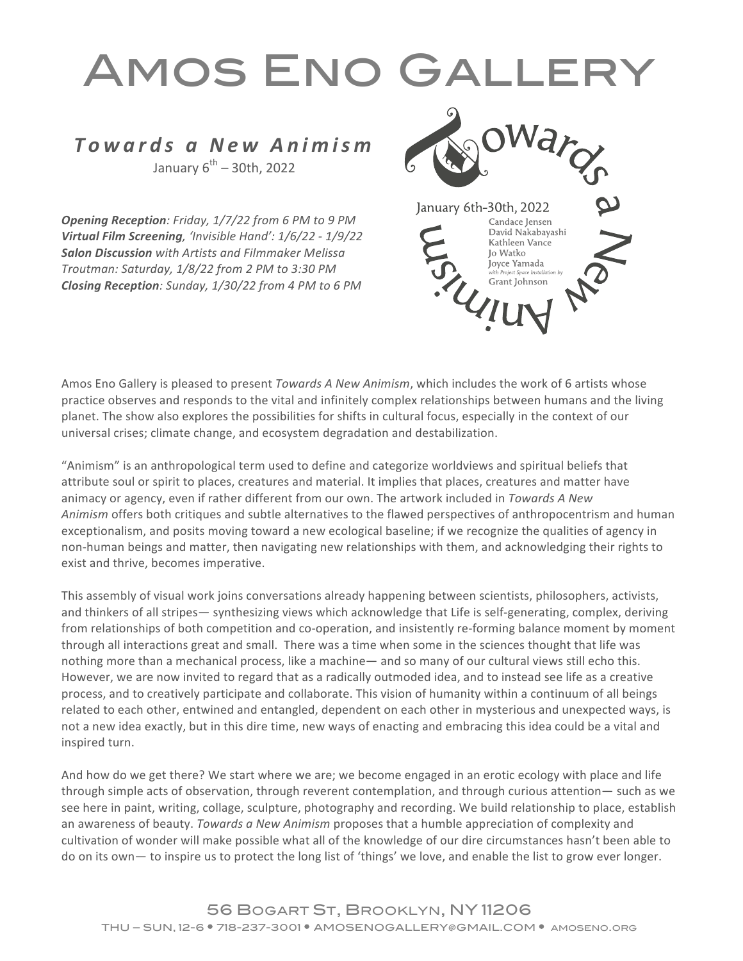## Amos Eno Gallery

## *Towards a New Animism* January  $6^{th}$  – 30th, 2022

**Opening Reception**: Friday, 1/7/22 from 6 PM to 9 PM *Virtual Film Screening, 'Invisible Hand': 1/6/22 - 1/9/22* **Salon Discussion** with Artists and Filmmaker Melissa *Troutman: Saturday, 1/8/22 from 2 PM to 3:30 PM Closing Reception: Sunday, 1/30/22 from 4 PM to 6 PM*



Amos Eno Gallery is pleased to present *Towards A New Animism*, which includes the work of 6 artists whose practice observes and responds to the vital and infinitely complex relationships between humans and the living planet. The show also explores the possibilities for shifts in cultural focus, especially in the context of our universal crises; climate change, and ecosystem degradation and destabilization.

"Animism" is an anthropological term used to define and categorize worldviews and spiritual beliefs that attribute soul or spirit to places, creatures and material. It implies that places, creatures and matter have animacy or agency, even if rather different from our own. The artwork included in *Towards A New Animism* offers both critiques and subtle alternatives to the flawed perspectives of anthropocentrism and human exceptionalism, and posits moving toward a new ecological baseline; if we recognize the qualities of agency in non-human beings and matter, then navigating new relationships with them, and acknowledging their rights to exist and thrive, becomes imperative.

This assembly of visual work joins conversations already happening between scientists, philosophers, activists, and thinkers of all stripes— synthesizing views which acknowledge that Life is self-generating, complex, deriving from relationships of both competition and co-operation, and insistently re-forming balance moment by moment through all interactions great and small. There was a time when some in the sciences thought that life was nothing more than a mechanical process, like a machine— and so many of our cultural views still echo this. However, we are now invited to regard that as a radically outmoded idea, and to instead see life as a creative process, and to creatively participate and collaborate. This vision of humanity within a continuum of all beings related to each other, entwined and entangled, dependent on each other in mysterious and unexpected ways, is not a new idea exactly, but in this dire time, new ways of enacting and embracing this idea could be a vital and inspired turn.

And how do we get there? We start where we are; we become engaged in an erotic ecology with place and life through simple acts of observation, through reverent contemplation, and through curious attention— such as we see here in paint, writing, collage, sculpture, photography and recording. We build relationship to place, establish an awareness of beauty. *Towards a New Animism* proposes that a humble appreciation of complexity and cultivation of wonder will make possible what all of the knowledge of our dire circumstances hasn't been able to do on its own— to inspire us to protect the long list of 'things' we love, and enable the list to grow ever longer.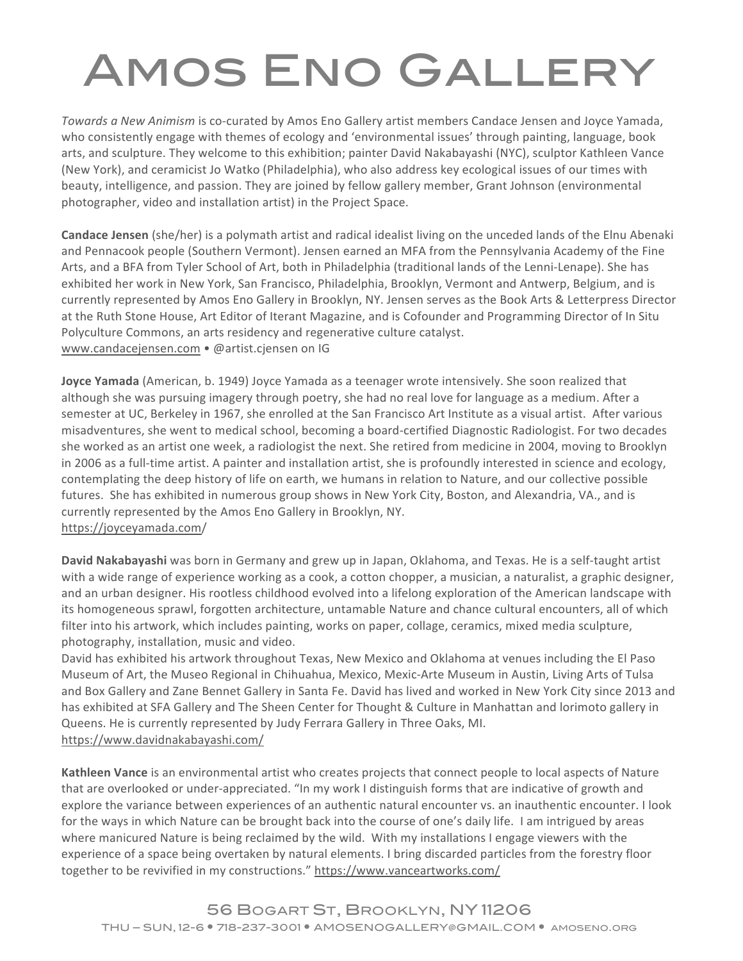## Amos Eno Gallery

*Towards a New Animism* is co-curated by Amos Eno Gallery artist members Candace Jensen and Joyce Yamada, who consistently engage with themes of ecology and 'environmental issues' through painting, language, book arts, and sculpture. They welcome to this exhibition; painter David Nakabayashi (NYC), sculptor Kathleen Vance (New York), and ceramicist Jo Watko (Philadelphia), who also address key ecological issues of our times with beauty, intelligence, and passion. They are joined by fellow gallery member, Grant Johnson (environmental photographer, video and installation artist) in the Project Space.

**Candace Jensen** (she/her) is a polymath artist and radical idealist living on the unceded lands of the Elnu Abenaki and Pennacook people (Southern Vermont). Jensen earned an MFA from the Pennsylvania Academy of the Fine Arts, and a BFA from Tyler School of Art, both in Philadelphia (traditional lands of the Lenni-Lenape). She has exhibited her work in New York, San Francisco, Philadelphia, Brooklyn, Vermont and Antwerp, Belgium, and is currently represented by Amos Eno Gallery in Brooklyn, NY. Jensen serves as the Book Arts & Letterpress Director at the Ruth Stone House, Art Editor of Iterant Magazine, and is Cofounder and Programming Director of In Situ Polyculture Commons, an arts residency and regenerative culture catalyst. www.candacejensen.com • @artist.cjensen on IG

**Joyce Yamada** (American, b. 1949) Joyce Yamada as a teenager wrote intensively. She soon realized that although she was pursuing imagery through poetry, she had no real love for language as a medium. After a semester at UC, Berkeley in 1967, she enrolled at the San Francisco Art Institute as a visual artist. After various misadventures, she went to medical school, becoming a board-certified Diagnostic Radiologist. For two decades she worked as an artist one week, a radiologist the next. She retired from medicine in 2004, moving to Brooklyn in 2006 as a full-time artist. A painter and installation artist, she is profoundly interested in science and ecology, contemplating the deep history of life on earth, we humans in relation to Nature, and our collective possible futures. She has exhibited in numerous group shows in New York City, Boston, and Alexandria, VA., and is currently represented by the Amos Eno Gallery in Brooklyn, NY. https://joyceyamada.com/

**David Nakabayashi** was born in Germany and grew up in Japan, Oklahoma, and Texas. He is a self-taught artist with a wide range of experience working as a cook, a cotton chopper, a musician, a naturalist, a graphic designer, and an urban designer. His rootless childhood evolved into a lifelong exploration of the American landscape with its homogeneous sprawl, forgotten architecture, untamable Nature and chance cultural encounters, all of which filter into his artwork, which includes painting, works on paper, collage, ceramics, mixed media sculpture, photography, installation, music and video.

David has exhibited his artwork throughout Texas, New Mexico and Oklahoma at venues including the El Paso Museum of Art, the Museo Regional in Chihuahua, Mexico, Mexic-Arte Museum in Austin, Living Arts of Tulsa and Box Gallery and Zane Bennet Gallery in Santa Fe. David has lived and worked in New York City since 2013 and has exhibited at SFA Gallery and The Sheen Center for Thought & Culture in Manhattan and lorimoto gallery in Queens. He is currently represented by Judy Ferrara Gallery in Three Oaks, MI. https://www.davidnakabayashi.com/

**Kathleen Vance** is an environmental artist who creates projects that connect people to local aspects of Nature that are overlooked or under-appreciated. "In my work I distinguish forms that are indicative of growth and explore the variance between experiences of an authentic natural encounter vs. an inauthentic encounter. I look for the ways in which Nature can be brought back into the course of one's daily life. I am intrigued by areas where manicured Nature is being reclaimed by the wild. With my installations I engage viewers with the experience of a space being overtaken by natural elements. I bring discarded particles from the forestry floor together to be revivified in my constructions." https://www.vanceartworks.com/